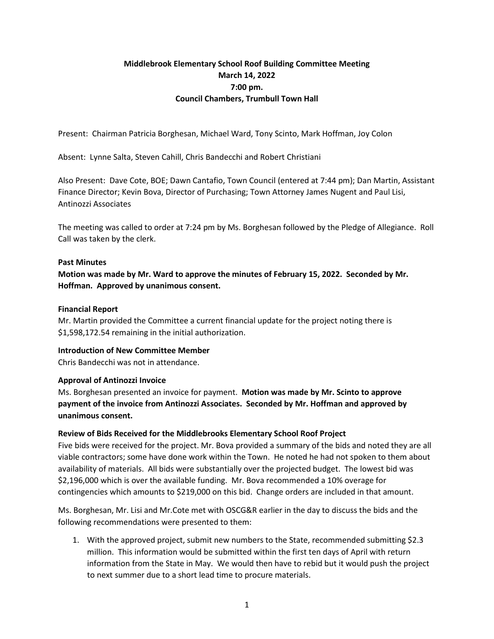# **Middlebrook Elementary School Roof Building Committee Meeting March 14, 2022 7:00 pm. Council Chambers, Trumbull Town Hall**

Present: Chairman Patricia Borghesan, Michael Ward, Tony Scinto, Mark Hoffman, Joy Colon

Absent: Lynne Salta, Steven Cahill, Chris Bandecchi and Robert Christiani

Also Present: Dave Cote, BOE; Dawn Cantafio, Town Council (entered at 7:44 pm); Dan Martin, Assistant Finance Director; Kevin Bova, Director of Purchasing; Town Attorney James Nugent and Paul Lisi, Antinozzi Associates

The meeting was called to order at 7:24 pm by Ms. Borghesan followed by the Pledge of Allegiance. Roll Call was taken by the clerk.

### **Past Minutes**

**Motion was made by Mr. Ward to approve the minutes of February 15, 2022. Seconded by Mr. Hoffman. Approved by unanimous consent.** 

### **Financial Report**

Mr. Martin provided the Committee a current financial update for the project noting there is \$1,598,172.54 remaining in the initial authorization.

# **Introduction of New Committee Member**

Chris Bandecchi was not in attendance.

# **Approval of Antinozzi Invoice**

Ms. Borghesan presented an invoice for payment. **Motion was made by Mr. Scinto to approve payment of the invoice from Antinozzi Associates. Seconded by Mr. Hoffman and approved by unanimous consent.** 

# **Review of Bids Received for the Middlebrooks Elementary School Roof Project**

Five bids were received for the project. Mr. Bova provided a summary of the bids and noted they are all viable contractors; some have done work within the Town. He noted he had not spoken to them about availability of materials. All bids were substantially over the projected budget. The lowest bid was \$2,196,000 which is over the available funding. Mr. Bova recommended a 10% overage for contingencies which amounts to \$219,000 on this bid. Change orders are included in that amount.

Ms. Borghesan, Mr. Lisi and Mr.Cote met with OSCG&R earlier in the day to discuss the bids and the following recommendations were presented to them:

1. With the approved project, submit new numbers to the State, recommended submitting \$2.3 million. This information would be submitted within the first ten days of April with return information from the State in May. We would then have to rebid but it would push the project to next summer due to a short lead time to procure materials.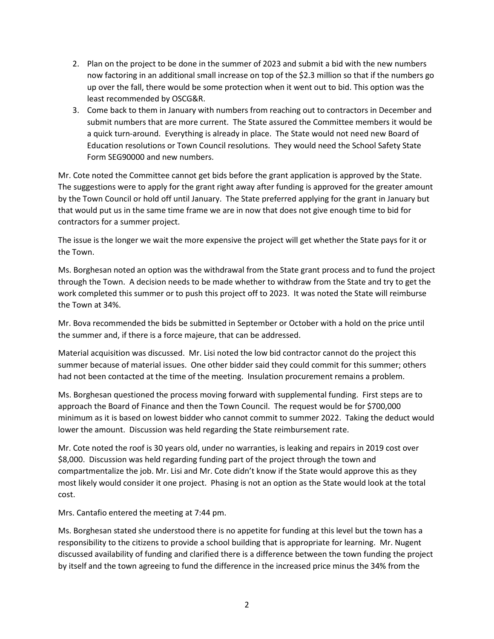- 2. Plan on the project to be done in the summer of 2023 and submit a bid with the new numbers now factoring in an additional small increase on top of the \$2.3 million so that if the numbers go up over the fall, there would be some protection when it went out to bid. This option was the least recommended by OSCG&R.
- 3. Come back to them in January with numbers from reaching out to contractors in December and submit numbers that are more current. The State assured the Committee members it would be a quick turn-around. Everything is already in place. The State would not need new Board of Education resolutions or Town Council resolutions. They would need the School Safety State Form SEG90000 and new numbers.

Mr. Cote noted the Committee cannot get bids before the grant application is approved by the State. The suggestions were to apply for the grant right away after funding is approved for the greater amount by the Town Council or hold off until January. The State preferred applying for the grant in January but that would put us in the same time frame we are in now that does not give enough time to bid for contractors for a summer project.

The issue is the longer we wait the more expensive the project will get whether the State pays for it or the Town.

Ms. Borghesan noted an option was the withdrawal from the State grant process and to fund the project through the Town. A decision needs to be made whether to withdraw from the State and try to get the work completed this summer or to push this project off to 2023. It was noted the State will reimburse the Town at 34%.

Mr. Bova recommended the bids be submitted in September or October with a hold on the price until the summer and, if there is a force majeure, that can be addressed.

Material acquisition was discussed. Mr. Lisi noted the low bid contractor cannot do the project this summer because of material issues. One other bidder said they could commit for this summer; others had not been contacted at the time of the meeting. Insulation procurement remains a problem.

Ms. Borghesan questioned the process moving forward with supplemental funding. First steps are to approach the Board of Finance and then the Town Council. The request would be for \$700,000 minimum as it is based on lowest bidder who cannot commit to summer 2022. Taking the deduct would lower the amount. Discussion was held regarding the State reimbursement rate.

Mr. Cote noted the roof is 30 years old, under no warranties, is leaking and repairs in 2019 cost over \$8,000. Discussion was held regarding funding part of the project through the town and compartmentalize the job. Mr. Lisi and Mr. Cote didn't know if the State would approve this as they most likely would consider it one project. Phasing is not an option as the State would look at the total cost.

Mrs. Cantafio entered the meeting at 7:44 pm.

Ms. Borghesan stated she understood there is no appetite for funding at this level but the town has a responsibility to the citizens to provide a school building that is appropriate for learning. Mr. Nugent discussed availability of funding and clarified there is a difference between the town funding the project by itself and the town agreeing to fund the difference in the increased price minus the 34% from the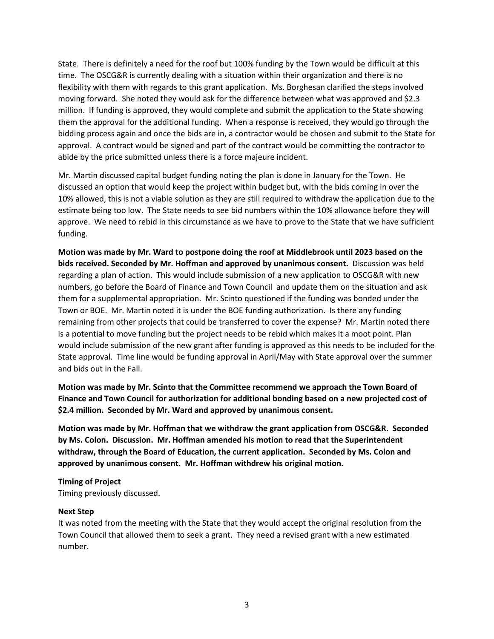State. There is definitely a need for the roof but 100% funding by the Town would be difficult at this time. The OSCG&R is currently dealing with a situation within their organization and there is no flexibility with them with regards to this grant application. Ms. Borghesan clarified the steps involved moving forward. She noted they would ask for the difference between what was approved and \$2.3 million. If funding is approved, they would complete and submit the application to the State showing them the approval for the additional funding. When a response is received, they would go through the bidding process again and once the bids are in, a contractor would be chosen and submit to the State for approval. A contract would be signed and part of the contract would be committing the contractor to abide by the price submitted unless there is a force majeure incident.

Mr. Martin discussed capital budget funding noting the plan is done in January for the Town. He discussed an option that would keep the project within budget but, with the bids coming in over the 10% allowed, this is not a viable solution as they are still required to withdraw the application due to the estimate being too low. The State needs to see bid numbers within the 10% allowance before they will approve. We need to rebid in this circumstance as we have to prove to the State that we have sufficient funding.

**Motion was made by Mr. Ward to postpone doing the roof at Middlebrook until 2023 based on the bids received. Seconded by Mr. Hoffman and approved by unanimous consent.** Discussion was held regarding a plan of action. This would include submission of a new application to OSCG&R with new numbers, go before the Board of Finance and Town Council and update them on the situation and ask them for a supplemental appropriation. Mr. Scinto questioned if the funding was bonded under the Town or BOE. Mr. Martin noted it is under the BOE funding authorization. Is there any funding remaining from other projects that could be transferred to cover the expense? Mr. Martin noted there is a potential to move funding but the project needs to be rebid which makes it a moot point. Plan would include submission of the new grant after funding is approved as this needs to be included for the State approval. Time line would be funding approval in April/May with State approval over the summer and bids out in the Fall.

**Motion was made by Mr. Scinto that the Committee recommend we approach the Town Board of Finance and Town Council for authorization for additional bonding based on a new projected cost of \$2.4 million. Seconded by Mr. Ward and approved by unanimous consent.**

**Motion was made by Mr. Hoffman that we withdraw the grant application from OSCG&R. Seconded by Ms. Colon. Discussion. Mr. Hoffman amended his motion to read that the Superintendent withdraw, through the Board of Education, the current application. Seconded by Ms. Colon and approved by unanimous consent. Mr. Hoffman withdrew his original motion.**

# **Timing of Project**  Timing previously discussed.

# **Next Step**

It was noted from the meeting with the State that they would accept the original resolution from the Town Council that allowed them to seek a grant. They need a revised grant with a new estimated number.